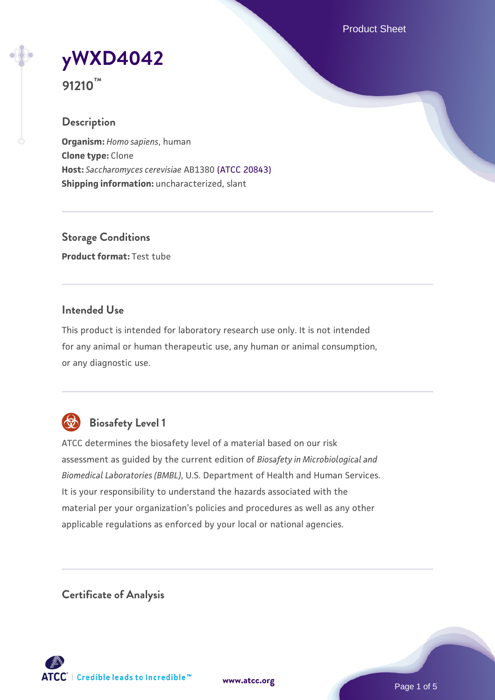Product Sheet

**[yWXD4042](https://www.atcc.org/products/91210)**



### **Description**

**Organism:** *Homo sapiens*, human **Clone type:** Clone **Host:** *Saccharomyces cerevisiae* AB1380 [\(ATCC 20843\)](https://www.atcc.org/products/20843) **Shipping information:** uncharacterized, slant

**Storage Conditions Product format:** Test tube

# **Intended Use**

This product is intended for laboratory research use only. It is not intended for any animal or human therapeutic use, any human or animal consumption, or any diagnostic use.



# **Biosafety Level 1**

ATCC determines the biosafety level of a material based on our risk assessment as guided by the current edition of *Biosafety in Microbiological and Biomedical Laboratories (BMBL)*, U.S. Department of Health and Human Services. It is your responsibility to understand the hazards associated with the material per your organization's policies and procedures as well as any other applicable regulations as enforced by your local or national agencies.

**Certificate of Analysis**

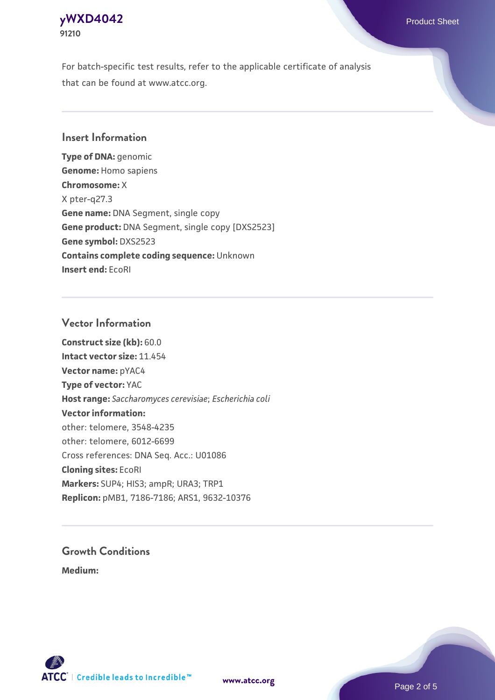# **[yWXD4042](https://www.atcc.org/products/91210)** Product Sheet **91210**

For batch-specific test results, refer to the applicable certificate of analysis that can be found at www.atcc.org.

# **Insert Information**

**Type of DNA:** genomic **Genome:** Homo sapiens **Chromosome:** X X pter-q27.3 **Gene name:** DNA Segment, single copy **Gene product:** DNA Segment, single copy [DXS2523] **Gene symbol:** DXS2523 **Contains complete coding sequence:** Unknown **Insert end:** EcoRI

# **Vector Information**

**Construct size (kb):** 60.0 **Intact vector size:** 11.454 **Vector name:** pYAC4 **Type of vector:** YAC **Host range:** *Saccharomyces cerevisiae*; *Escherichia coli* **Vector information:** other: telomere, 3548-4235 other: telomere, 6012-6699 Cross references: DNA Seq. Acc.: U01086 **Cloning sites:** EcoRI **Markers:** SUP4; HIS3; ampR; URA3; TRP1 **Replicon:** pMB1, 7186-7186; ARS1, 9632-10376

# **Growth Conditions**

**Medium:** 



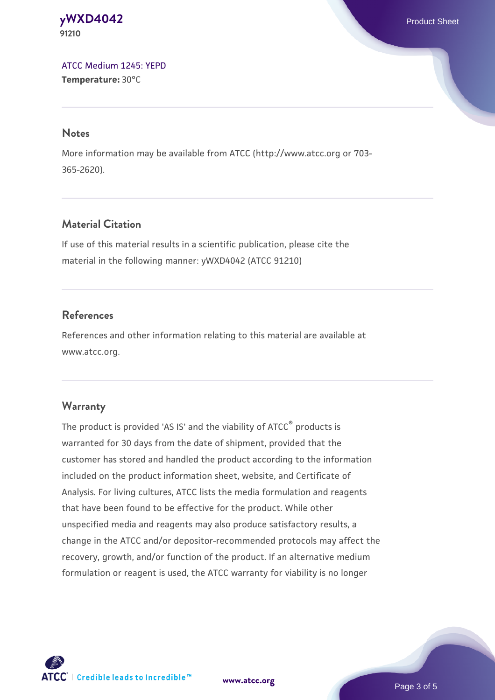#### **[yWXD4042](https://www.atcc.org/products/91210)** Product Sheet **91210**

[ATCC Medium 1245: YEPD](https://www.atcc.org/-/media/product-assets/documents/microbial-media-formulations/1/2/4/5/atcc-medium-1245.pdf?rev=705ca55d1b6f490a808a965d5c072196) **Temperature:** 30°C

#### **Notes**

More information may be available from ATCC (http://www.atcc.org or 703- 365-2620).

# **Material Citation**

If use of this material results in a scientific publication, please cite the material in the following manner: yWXD4042 (ATCC 91210)

# **References**

References and other information relating to this material are available at www.atcc.org.

# **Warranty**

The product is provided 'AS IS' and the viability of ATCC® products is warranted for 30 days from the date of shipment, provided that the customer has stored and handled the product according to the information included on the product information sheet, website, and Certificate of Analysis. For living cultures, ATCC lists the media formulation and reagents that have been found to be effective for the product. While other unspecified media and reagents may also produce satisfactory results, a change in the ATCC and/or depositor-recommended protocols may affect the recovery, growth, and/or function of the product. If an alternative medium formulation or reagent is used, the ATCC warranty for viability is no longer



**[www.atcc.org](http://www.atcc.org)**

Page 3 of 5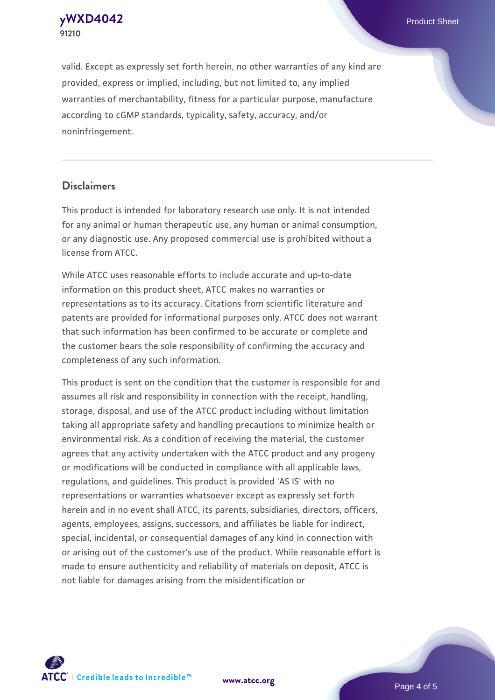**[yWXD4042](https://www.atcc.org/products/91210)** Product Sheet **91210**

valid. Except as expressly set forth herein, no other warranties of any kind are provided, express or implied, including, but not limited to, any implied warranties of merchantability, fitness for a particular purpose, manufacture according to cGMP standards, typicality, safety, accuracy, and/or noninfringement.

#### **Disclaimers**

This product is intended for laboratory research use only. It is not intended for any animal or human therapeutic use, any human or animal consumption, or any diagnostic use. Any proposed commercial use is prohibited without a license from ATCC.

While ATCC uses reasonable efforts to include accurate and up-to-date information on this product sheet, ATCC makes no warranties or representations as to its accuracy. Citations from scientific literature and patents are provided for informational purposes only. ATCC does not warrant that such information has been confirmed to be accurate or complete and the customer bears the sole responsibility of confirming the accuracy and completeness of any such information.

This product is sent on the condition that the customer is responsible for and assumes all risk and responsibility in connection with the receipt, handling, storage, disposal, and use of the ATCC product including without limitation taking all appropriate safety and handling precautions to minimize health or environmental risk. As a condition of receiving the material, the customer agrees that any activity undertaken with the ATCC product and any progeny or modifications will be conducted in compliance with all applicable laws, regulations, and guidelines. This product is provided 'AS IS' with no representations or warranties whatsoever except as expressly set forth herein and in no event shall ATCC, its parents, subsidiaries, directors, officers, agents, employees, assigns, successors, and affiliates be liable for indirect, special, incidental, or consequential damages of any kind in connection with or arising out of the customer's use of the product. While reasonable effort is made to ensure authenticity and reliability of materials on deposit, ATCC is not liable for damages arising from the misidentification or



**[www.atcc.org](http://www.atcc.org)**

Page 4 of 5